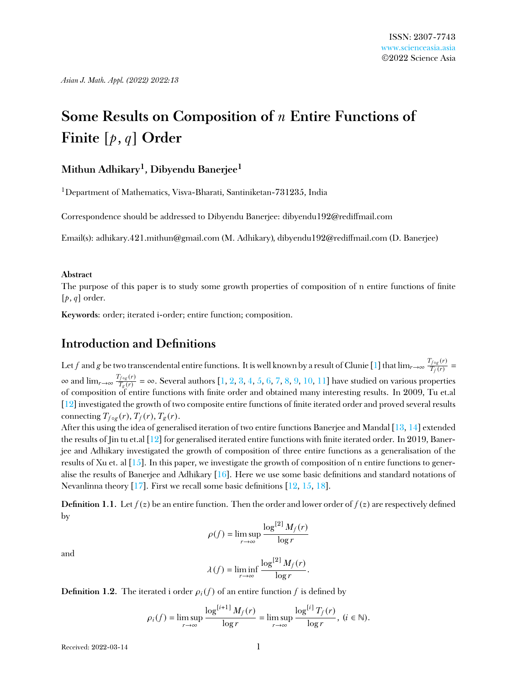# **Some Results on Composition of** *n* **Entire Functions of Finite** [*p*, *q*] **Order**

#### **Mithun Adhikary<sup>1</sup> , Dibyendu Banerjee<sup>1</sup>**

<sup>1</sup>Department of Mathematics, Visva-Bharati, Santiniketan-731235, India

Correspondence should be addressed to Dibyendu Banerjee: dibyendu192@redimail.com

Email(s): adhikary.421.mithun@gmail.com (M. Adhikary), dibyendu192@redimail.com (D. Banerjee)

#### **Abstract**

The purpose of this paper is to study some growth properties of composition of n entire functions of finite  $[p, q]$  order.

**Keywords**: order; iterated i-order; entire function; composition.

#### **Introduction and Definitions**

Let *f* and *g* be two transcendental entire functions. It is well known by a result of Clunie [\[1\]](#page-12-0) that  $\lim_{r\to\infty}\frac{T_{f\circ g}(r)}{T_{f}(r)}$  $\frac{T_f \circ g(T)}{T_f(r)}$  =  $\infty$  and  $\lim_{r \to \infty} \frac{T_{f \circ g}(r)}{T_g(r)}$ *T*<sub>*g*(*r*)</sub> = ∞. Several authors [\[1,](#page-12-0) [2,](#page-12-1) [3,](#page-12-2) [4,](#page-12-3) [5,](#page-12-4) [6,](#page-12-5) [7,](#page-12-6) [8,](#page-12-7) [9,](#page-12-8) [10,](#page-12-9) [11\]](#page-12-10) have studied on various properties of composition of entire functions with nite order and obtained many interesting results. In 2009, Tu et.al [\[12\]](#page-12-11) investigated the growth of two composite entire functions of finite iterated order and proved several results connecting  $T_{f \circ g}(r)$ ,  $T_f(r)$ ,  $T_g(r)$ .

After this using the idea of generalised iteration of two entire functions Banerjee and Mandal [\[13,](#page-12-12) [14\]](#page-12-13) extended the results of Jin tu et.al  $[12]$  for generalised iterated entire functions with finite iterated order. In 2019, Banerjee and Adhikary investigated the growth of composition of three entire functions as a generalisation of the results of Xu et. al [\[15\]](#page-12-14). In this paper, we investigate the growth of composition of n entire functions to generalise the results of Banerjee and Adhikary  $[16]$ . Here we use some basic definitions and standard notations of Nevanlinna theory [\[17\]](#page-13-1). First we recall some basic definitions  $[12, 15, 18]$  $[12, 15, 18]$  $[12, 15, 18]$  $[12, 15, 18]$  $[12, 15, 18]$ .

**Definition 1.1.** Let  $f(z)$  be an entire function. Then the order and lower order of  $f(z)$  are respectively defined by

$$
\rho(f) = \limsup_{r \to \infty} \frac{\log^{[2]} M_f(r)}{\log r}
$$

and

$$
\lambda(f) = \liminf_{r \to \infty} \frac{\log^{[2]} M_f(r)}{\log r}.
$$

**Definition 1.2.** The iterated i order  $\rho_i(f)$  of an entire function f is defined by

$$
\rho_i(f) = \limsup_{r \to \infty} \frac{\log^{[i+1]} M_f(r)}{\log r} = \limsup_{r \to \infty} \frac{\log^{[i]} T_f(r)}{\log r}, \ (i \in \mathbb{N}).
$$

Received: 2022-03-14 1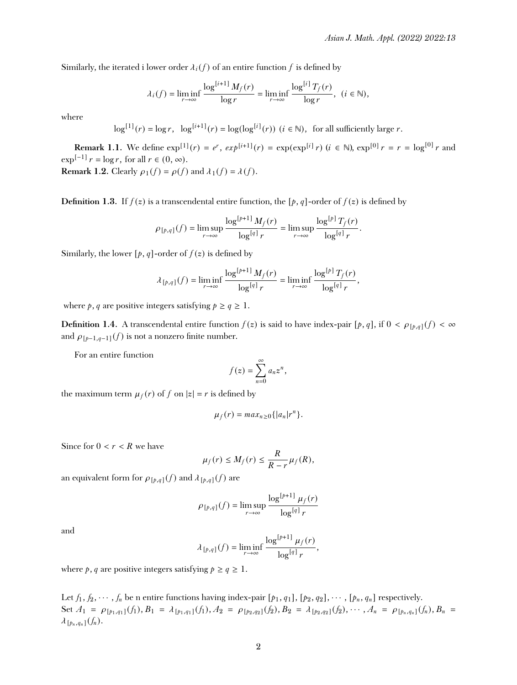Similarly, the iterated i lower order  $\lambda_i(f)$  of an entire function f is defined by

$$
\lambda_i(f) = \liminf_{r \to \infty} \frac{\log^{[i+1]} M_f(r)}{\log r} = \liminf_{r \to \infty} \frac{\log^{[i]} T_f(r)}{\log r}, \ (i \in \mathbb{N}),
$$

where

$$
\log^{[1]}(r) = \log r, \quad \log^{[i+1]}(r) = \log(\log^{[i]}(r)) \ (i \in \mathbb{N}), \text{ for all sufficiently large } r.
$$

**Remark 1.1.** We define  $\exp^{[1]}(r) = e^r$ ,  $\exp^{[i+1]}(r) = \exp(\exp^{[i]}r)$   $(i \in \mathbb{N})$ ,  $\exp^{[0]}r = r = \log^{[0]}r$  and  $\exp^{[-1]} r = \log r$ , for all  $r \in (0, \infty)$ . **Remark 1.2.** Clearly  $\rho_1(f) = \rho(f)$  and  $\lambda_1(f) = \lambda(f)$ .

**Definition 1.3.** If  $f(z)$  is a transcendental entire function, the [p, q]-order of  $f(z)$  is defined by

$$
\rho_{[p,q]}(f) = \limsup_{r \to \infty} \frac{\log^{[p+1]} M_f(r)}{\log^{[q]} r} = \limsup_{r \to \infty} \frac{\log^{[p]} T_f(r)}{\log^{[q]} r}.
$$

Similarly, the lower  $[p, q]$ -order of  $f(z)$  is defined by

$$
\lambda_{[p,q]}(f)=\liminf_{r\to\infty}\frac{\log^{[p+1]}M_f(r)}{\log^{[q]}r}=\liminf_{r\to\infty}\frac{\log^{[p]}T_f(r)}{\log^{[q]}r},
$$

where  $p$ , *q* are positive integers satisfying  $p \ge q \ge 1$ .

**Definition 1.4.** A transcendental entire function  $f(z)$  is said to have index-pair [p, q], if  $0 < \rho_{[p,q]}(f) < \infty$ and  $\rho_{[p-1,q-1]}(f)$  is not a nonzero finite number.

For an entire function

$$
f(z) = \sum_{n=0}^{\infty} a_n z^n,
$$

the maximum term  $\mu_f(r)$  of *f* on  $|z| = r$  is defined by

$$
\mu_f(r) = max_{n \geq 0} \{|a_n|r^n\}.
$$

Since for  $0 < r < R$  we have

$$
\mu_f(r) \leq M_f(r) \leq \frac{R}{R-r} \mu_f(R),
$$

an equivalent form for  $\rho_{[p,q]}(f)$  and  $\lambda_{[p,q]}(f)$  are

$$
\rho_{[p,q]}(f) = \limsup_{r \to \infty} \frac{\log^{[p+1]} \mu_f(r)}{\log^{[q]} r}
$$

and

$$
\lambda_{[p,q]}(f) = \liminf_{r \to \infty} \frac{\log^{[p+1]} \mu_f(r)}{\log^{[q]} r},
$$

where  $p$ ,  $q$  are positive integers satisfying  $p \ge q \ge 1$ .

Let  $f_1, f_2, \dots, f_n$  be n entire functions having index-pair  $[p_1, q_1]$ ,  $[p_2, q_2]$ ,  $\dots$ ,  $[p_n, q_n]$  respectively. Set  $A_1 = \rho_{[p_1,q_1]}(f_1), B_1 = \lambda_{[p_1,q_1]}(f_1), A_2 = \rho_{[p_2,q_2]}(f_2), B_2 = \lambda_{[p_2,q_2]}(f_2), \cdots, A_n = \rho_{[p_n,q_n]}(f_n), B_n =$  $\lambda_{\left[p_n,q_n\right]}(f_n).$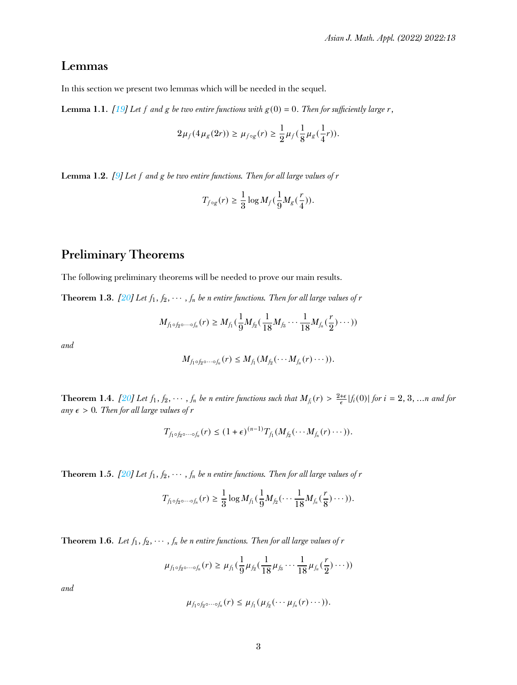## **Lemmas**

In this section we present two lemmas which will be needed in the sequel.

<span id="page-2-0"></span>**Lemma 1.1.** *[\[19\]](#page-13-3)* Let *f* and *g* be two entire functions with  $g(0) = 0$ . Then for sufficiently large r,

$$
2\mu_f(4\mu_g(2r)) \geq \mu_{f \circ g}(r) \geq \frac{1}{2}\mu_f(\frac{1}{8}\mu_g(\frac{1}{4}r)).
$$

<span id="page-2-5"></span>**Lemma 1.2.** *[\[9\]](#page-12-8) Let f and g be two entire functions. Then for all large values of r*

$$
T_{f \circ g}(r) \geq \frac{1}{3} \log M_f(\frac{1}{9} M_g(\frac{r}{4})).
$$

# **Preliminary Theorems**

The following preliminary theorems will be needed to prove our main results.

<span id="page-2-3"></span>**Theorem 1.3.** *[\[20\]](#page-13-4) Let*  $f_1, f_2, \cdots, f_n$  *be n entire functions. Then for all large values of*  $r$ 

$$
M_{f_1 \circ f_2 \circ \cdots \circ f_n}(r) \geq M_{f_1}(\frac{1}{9}M_{f_2}(\frac{1}{18}M_{f_3} \cdots \frac{1}{18}M_{f_n}(\frac{r}{2}) \cdots))
$$

*and*

$$
M_{f_1\circ f_2\circ\cdots\circ f_n}(r)\leq M_{f_1}(M_{f_2}(\cdots M_{f_n}(r)\cdots)).
$$

<span id="page-2-1"></span>**Theorem 1.4.** [\[20\]](#page-13-4) Let  $f_1, f_2, \cdots, f_n$  be n entire functions such that  $M_{f_i}(r) > \frac{2+\epsilon}{\epsilon} |f_i(0)|$  for  $i = 2, 3, ...n$  and for  $any \epsilon > 0$ *. Then for all large values of r* 

$$
T_{f_1\circ f_2\circ\cdots\circ f_n}(r)\leq (1+\epsilon)^{(n-1)}T_{f_1}(M_{f_2}(\cdots M_{f_n}(r)\cdots)).
$$

<span id="page-2-2"></span>**Theorem 1.5.** *[\[20\]](#page-13-4) Let*  $f_1, f_2, \cdots, f_n$  *be n entire functions. Then for all large values of*  $r$ 

$$
T_{f_1\circ f_2\circ\cdots\circ f_n}(r)\geq \frac{1}{3}\log M_{f_1}(\frac{1}{9}M_{f_2}(\cdots\frac{1}{18}M_{f_n}(\frac{r}{8})\cdots)).
$$

<span id="page-2-4"></span>**Theorem 1.6.** *Let*  $f_1, f_2, \cdots, f_n$  *be n entire functions. Then for all large values of*  $r$ 

$$
\mu_{f_1\circ f_2\circ\cdots\circ f_n}(r)\geq \mu_{f_1}(\frac{1}{9}\mu_{f_2}(\frac{1}{18}\mu_{f_3}\cdots\frac{1}{18}\mu_{f_n}(\frac{r}{2})\cdots))
$$

*and*

$$
\mu_{f_1\circ f_2\circ\cdots\circ f_n}(r)\leq \mu_{f_1}(\mu_{f_2}(\cdots\mu_{f_n}(r)\cdots)).
$$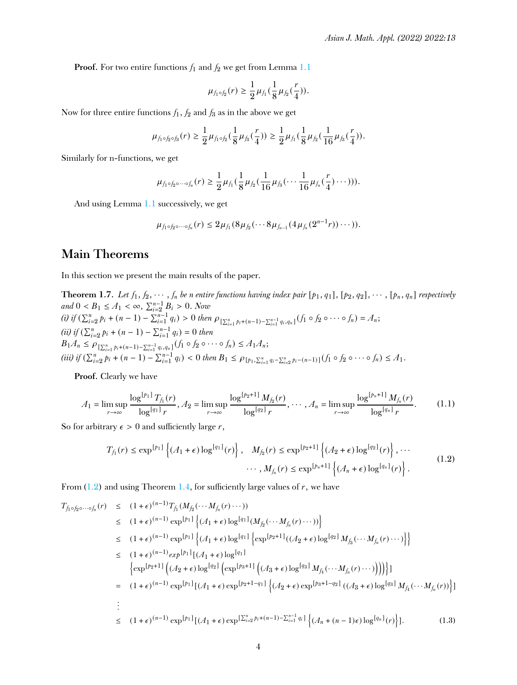**Proof.** For two entire functions  $f_1$  and  $f_2$  we get from Lemma [1.1](#page-2-0)

$$
\mu_{f_1\circ f_2}(r)\geq \frac{1}{2}\mu_{f_1}(\frac{1}{8}\mu_{f_2}(\frac{r}{4})).
$$

Now for three entire functions  $f_1$ ,  $f_2$  and  $f_3$  as in the above we get

$$
\mu_{f_1\circ f_2\circ f_3}(r)\geq \frac{1}{2}\mu_{f_1\circ f_2}(\frac{1}{8}\mu_{f_3}(\frac{r}{4}))\geq \frac{1}{2}\mu_{f_1}(\frac{1}{8}\mu_{f_2}(\frac{1}{16}\mu_{f_3}(\frac{r}{4})).
$$

Similarly for n-functions, we get

$$
\mu_{f_1 \circ f_2 \circ \cdots \circ f_n}(r) \geq \frac{1}{2} \mu_{f_1} \left( \frac{1}{8} \mu_{f_2} \left( \frac{1}{16} \mu_{f_3} \left( \cdots \frac{1}{16} \mu_{f_n} \left( \frac{r}{4} \right) \cdots \right) \right) \right).
$$

And using Lemma [1.1](#page-2-0) successively, we get

$$
\mu_{f_1\circ f_2\circ\cdots\circ f_n}(r)\leq 2\mu_{f_1}(8\mu_{f_2}(\cdots 8\mu_{f_{n-1}}(4\mu_{f_n}(2^{n-1}r))\cdots)).
$$

## **Main Theorems**

In this section we present the main results of the paper.

**Theorem 1.7.** Let  $f_1, f_2, \dots, f_n$  be n entire functions having index pair  $[p_1, q_1]$ ,  $[p_2, q_2]$ ,  $\dots$ ,  $[p_n, q_n]$  respectively  $and$   $0 < B_1 \leq A_1 < \infty$ ,  $\sum_{i=2}^{n-1} B_i > 0$ . *Now* (i) if  $(\sum_{i=2}^{n} p_i + (n-1) - \sum_{i=1}^{n-1} q_i) > 0$  then  $\rho_{\{\sum_{i=1}^{n} p_i + (n-1) - \sum_{i=1}^{n-1} q_i, q_n\}}(f_1 \circ f_2 \circ \cdots \circ f_n) = A_n;$  $(iii)$  if  $(\sum_{i=2}^{n} p_i + (n-1) - \sum_{i=1}^{n-1} q_i) = 0$  then  $B_1A_n \leq \rho_{\left[\sum_{i=1}^n p_i + (n-1) - \sum_{i=1}^{n-1} q_i, q_n\right]}(f_1 \circ f_2 \circ \cdots \circ f_n) \leq A_1A_n;$ (iii) if  $(\sum_{i=2}^n p_i + (n-1) - \sum_{i=1}^{n-1} q_i) < 0$  then  $B_1 \le \rho_{[p_1, \sum_{i=1}^n q_i - \sum_{i=2}^n p_i - (n-1)]} (f_1 \circ f_2 \circ \cdots \circ f_n) \le A_1$ .

**Proof.** Clearly we have

$$
A_1 = \limsup_{r \to \infty} \frac{\log^{[p_1]} T_{f_1}(r)}{\log^{[q_1]} r}, A_2 = \limsup_{r \to \infty} \frac{\log^{[p_2+1]} M_{f_2}(r)}{\log^{[q_2]} r}, \cdots, A_n = \limsup_{r \to \infty} \frac{\log^{[p_n+1]} M_{f_n}(r)}{\log^{[q_n]} r}.
$$
 (1.1)

<span id="page-3-0"></span>So for arbitrary  $\epsilon > 0$  and sufficiently large *r*,

$$
T_{f_1}(r) \le \exp^{\lceil p_1 \rceil} \left\{ (A_1 + \epsilon) \log^{\lceil q_1 \rceil}(r) \right\}, \quad M_{f_2}(r) \le \exp^{\lceil p_2 + 1 \rceil} \left\{ (A_2 + \epsilon) \log^{\lceil q_2 \rceil}(r) \right\}, \cdots
$$

$$
\cdots, M_{f_n}(r) \le \exp^{\lceil p_n + 1 \rceil} \left\{ (A_n + \epsilon) \log^{\lceil q_n \rceil}(r) \right\}. \tag{1.2}
$$

From  $(1.2)$  and using Theorem [1.4,](#page-2-1) for sufficiently large values of *r*, we have

<span id="page-3-1"></span>
$$
T_{f_1 \circ f_2 \circ \cdots \circ f_n}(r) \leq (1+\epsilon)^{(n-1)} T_{f_1}(M_{f_2}(\cdots M_{f_n}(r)\cdots))
$$
  
\n
$$
\leq (1+\epsilon)^{(n-1)} \exp^{[p_1]} \left\{ (A_1+\epsilon) \log^{[q_1]}(M_{f_2}(\cdots M_{f_n}(r)\cdots)) \right\}
$$
  
\n
$$
\leq (1+\epsilon)^{(n-1)} \exp^{[p_1]} \left\{ (A_1+\epsilon) \log^{[q_1]} \left\{ \exp^{[p_2+1]}((A_2+\epsilon) \log^{[q_2]}M_{f_3}(\cdots M_{f_n}(r)\cdots) \right\} \right\}
$$
  
\n
$$
\leq (1+\epsilon)^{(n-1)} \exp^{[p_1]} [(A_1+\epsilon) \log^{[q_1]}(A_3+\epsilon) \log^{[q_3]}M_{f_4}(\cdots M_{f_n}(r)\cdots))]) \right\}
$$
  
\n
$$
= (1+\epsilon)^{(n-1)} \exp^{[p_1]} [(A_1+\epsilon) \exp^{[p_2+1-q_1]} \left\{ (A_2+\epsilon) \exp^{[p_3+1-q_2]}((A_3+\epsilon) \log^{[q_3]}M_{f_4}(\cdots M_{f_n}(r)) \right\}]
$$
  
\n
$$
\vdots
$$
  
\n
$$
\leq (1+\epsilon)^{(n-1)} \exp^{[p_1]} [(A_1+\epsilon) \exp^{[p_2+1-q_1]} \left\{ (A_2+\epsilon) \exp^{[p_3+1-q_2]}((A_3+\epsilon) \log^{[q_3]}M_{f_4}(\cdots M_{f_n}(r)) \right\}].
$$
  
\n
$$
(1.3)
$$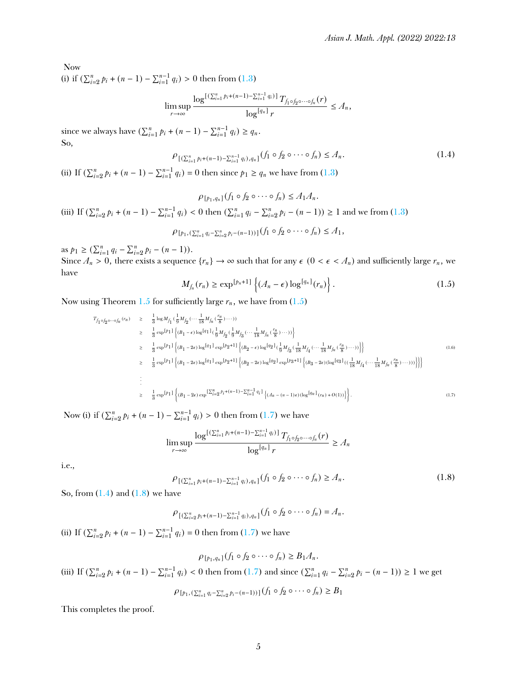Now

(i) if  $(\sum_{i=2}^{n} p_i + (n-1) - \sum_{i=1}^{n-1} q_i) > 0$  then from [\(1.3\)](#page-3-1)

$$
\limsup_{r \to \infty} \frac{\log^{[(\sum_{i=1}^n p_i + (n-1) - \sum_{i=1}^{n-1} q_i)]} T_{f_1 \circ f_2 \circ \cdots \circ f_n}(r)}{\log^{[q_n]} r} \leq A_n,
$$

<span id="page-4-2"></span>since we always have  $(\sum_{i=1}^{n} p_i + (n-1) - \sum_{i=1}^{n-1} q_i) \ge q_n$ . So,

$$
\rho_{[(\sum_{i=1}^{n} p_i + (n-1) - \sum_{i=1}^{n-1} q_i), q_n]}(f_1 \circ f_2 \circ \cdots \circ f_n) \leq A_n.
$$
\n(1.4)

(ii) If  $(\sum_{i=2}^{n} p_i + (n-1) - \sum_{i=1}^{n-1} q_i) = 0$  then since  $p_1 \ge q_n$  we have from [\(1.3\)](#page-3-1)

$$
\rho_{[p_1, q_n]}(f_1 \circ f_2 \circ \cdots \circ f_n) \le A_1 A_n.
$$
\n(iii) If  $(\sum_{i=2}^n p_i + (n-1) - \sum_{i=1}^{n-1} q_i) < 0$  then  $(\sum_{i=1}^n q_i - \sum_{i=2}^n p_i - (n-1)) \ge 1$  and we from (1.3)

\n
$$
\rho_{[p_1, (\sum_{i=1}^n q_i - \sum_{i=2}^n p_i - (n-1))]}(f_1 \circ f_2 \circ \cdots \circ f_n) \le A_1,
$$

<span id="page-4-0"></span>as  $p_1 \geq (\sum_{i=1}^n q_i - \sum_{i=2}^n p_i - (n-1)).$ Since  $A_n > 0$ , there exists a sequence  $\{r_n\} \to \infty$  such that for any  $\epsilon$   $(0 < \epsilon < A_n)$  and sufficiently large  $r_n$ , we have

$$
M_{f_n}(r_n) \ge \exp^{[p_n+1]} \left\{ (A_n - \epsilon) \log^{[q_n]}(r_n) \right\}.
$$
 (1.5)

Now using Theorem [1.5](#page-2-2) for sufficiently large  $r_n$ , we have from  $(1.5)$ 

<span id="page-4-1"></span>
$$
T_{f_1 \circ f_2 \circ \cdots \circ f_n} (r_n) \geq \frac{1}{3} \log M_{f_1} (\frac{1}{9} M_{f_2} (\cdots \frac{1}{18} M_{f_n} (\frac{r_n}{8}) \cdots))
$$
  
\n
$$
\geq \frac{1}{3} \exp\left[r_1\right] \left\{ (B_1 - \varepsilon) \log\left[ q_1 \right] (\frac{1}{9} M_{f_2} (\frac{1}{9} M_{f_3} (\cdots \frac{1}{18} M_{f_n} (\frac{r_n}{8}) \cdots)) \right\}
$$
  
\n
$$
\geq \frac{1}{3} \exp\left[r_1\right] \left\{ (B_1 - 2\varepsilon) \log\left[ q_1 \right] \exp\left[ p_2 + 1 \right] \left\{ (B_2 - \varepsilon) \log\left[ q_2 \right] (\frac{1}{9} M_{f_3} (\frac{1}{18} M_{f_4} (\cdots \frac{1}{18} M_{f_n} (\frac{r_n}{8}) \cdots)) \right] \right\}
$$
  
\n
$$
\geq \frac{1}{3} \exp\left[r_1\right] \left\{ (B_1 - 2\varepsilon) \log\left[ q_1 \right] \exp\left[ p_2 + 1 \right] \left\{ (B_2 - 2\varepsilon) \log\left[ q_2 \right] \exp\left[ p_3 + 1 \right] \left\{ (B_3 - 2\varepsilon) (\log\left[ q_3 \right] ((\frac{1}{18} M_{f_4} (\cdots \frac{1}{18} M_{f_n} (\frac{r_n}{8}) \cdots))) \right] \right\}
$$
  
\n
$$
\geq \frac{1}{3} \exp\left[r_1\right] \left\{ (B_1 - 2\varepsilon) \exp\left[ \sum_{i=2}^n p_i + (n-1) - \sum_{i=1}^{n-1} q_i \right] \left\{ (A_n - (n-1)\varepsilon) (\log\left[ q_n \right] (r_n) + O(1)) \right\} \right\}.
$$
  
\n(1.5)

Now (i) if  $(\sum_{i=2}^{n} p_i + (n-1) - \sum_{i=1}^{n-1} q_i) > 0$  then from [\(1.7\)](#page-4-1) we have

$$
\limsup_{r \to \infty} \frac{\log^{[(\sum_{i=1}^{n} p_i + (n-1) - \sum_{i=1}^{n-1} q_i)]} T_{f_1 \circ f_2 \circ \cdots \circ f_n}(r)}{\log^{[q_n]} r} \ge A_n
$$

<span id="page-4-3"></span>i.e.,

$$
\rho_{[(\sum_{i=1}^{n} p_i + (n-1) - \sum_{i=1}^{n-1} q_i), q_n]}(f_1 \circ f_2 \circ \cdots \circ f_n) \ge A_n.
$$
\n(1.8)

So, from  $(1.4)$  and  $(1.8)$  we have

 $P[(\sum_{i=2}^{n} p_i + (n-1) - \sum_{i=1}^{n-1} q_i), q_n]$   $(f_1 \circ f_2 \circ \cdots \circ f_n) = A_n$ .

(ii) If  $(\sum_{i=2}^{n} p_i + (n-1) - \sum_{i=1}^{n-1} q_i) = 0$  then from [\(1.7\)](#page-4-1) we have

$$
\rho_{[p_1,q_n]}(f_1\circ f_2\circ\cdots\circ f_n)\geq B_1A_n.
$$

(iii) If  $(\sum_{i=2}^{n} p_i + (n-1) - \sum_{i=1}^{n-1} q_i) < 0$  then from [\(1.7\)](#page-4-1) and since  $(\sum_{i=1}^{n} q_i - \sum_{i=2}^{n} p_i - (n-1)) \ge 1$  we get

$$
\rho_{[p_1,(\sum_{i=1}^n q_i - \sum_{i=2}^n p_i - (n-1))]}(f_1 \circ f_2 \circ \cdots \circ f_n) \geq B_1
$$

This completes the proof.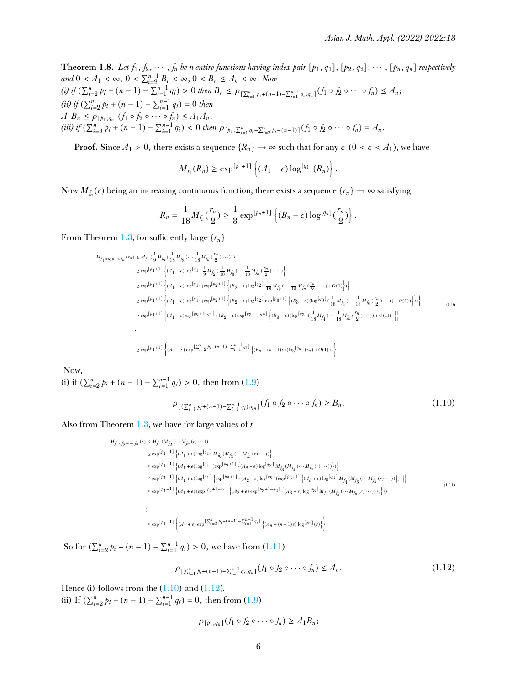**Theorem 1.8.** Let  $f_1, f_2, \dots, f_n$  be n entire functions having index pair  $[p_1, q_1]$ ,  $[p_2, q_2]$ ,  $\dots$ ,  $[p_n, q_n]$  respectively *and*  $0 < A_1 < \infty$ ,  $0 < \sum_{i=2}^{n-1} B_i < \infty$ ,  $0 < B_n \le A_n < \infty$ . *Now* (i) if  $(\sum_{i=2}^{n} p_i + (n-1) - \sum_{i=1}^{n-1} q_i) > 0$  then  $B_n \le \rho_{\left[\sum_{i=1}^{n} p_i + (n-1) - \sum_{i=1}^{n-1} q_i, q_n\right]}(f_1 \circ f_2 \circ \cdots \circ f_n) \le A_n;$  $(iii)$  if  $(\sum_{i=2}^{n} p_i + (n-1) - \sum_{i=1}^{n-1} q_i) = 0$  then  $A_1B_n \le \rho_{[p_1,q_n]}(f_1 \circ f_2 \circ \cdots \circ f_n) \le A_1A_n;$ (iii) if  $(\sum_{i=2}^n p_i + (n-1) - \sum_{i=1}^{n-1} q_i) < 0$  then  $\rho_{[p_1, \sum_{i=1}^n q_i - \sum_{i=2}^n p_i - (n-1)]}(f_1 \circ f_2 \circ \cdots \circ f_n) = A_n$ .

**Proof.** Since  $A_1 > 0$ , there exists a sequence  $\{R_n\} \to \infty$  such that for any  $\epsilon$  ( $0 < \epsilon < A_1$ ), we have

$$
M_{f_1}(R_n) \geq \exp^{[p_1+1]} \left\{ (A_1 - \epsilon) \log^{[q_1]}(R_n) \right\}.
$$

Now  $M_{f_n}(r)$  being an increasing continuous function, there exists a sequence  $\{r_n\} \to \infty$  satisfying

<span id="page-5-0"></span>
$$
R_n=\frac{1}{18}M_{f_n}(\frac{r_n}{2})\geq \frac{1}{3}\exp^{[p_n+1]}\left\{(B_n-\epsilon)\log^{[q_n]}(\frac{r_n}{2})\right\}.
$$

From Theorem [1.3,](#page-2-3) for sufficiently large  $\{r_n\}$ 

$$
\begin{split} M_{f_1 \circ f_2 \circ \cdots \circ f_n}(r_n) & \geq M_{f_1} \left( \frac{1}{9} M_{f_2} \left( \frac{1}{18} M_{f_3} \left( \cdots \frac{1}{18} M_{f_n} \left( \frac{r_n}{2} \right) \cdots \right) \right) \right) \\ & \geq \exp\left[ p_1 + 1 \right] \left\{ (A_1 - \epsilon) \log\left[ q_1 \right] \frac{1}{9} M_{f_2} \left( \frac{1}{18} M_{f_3} \left( \cdots \frac{1}{18} M_{f_n} \left( \frac{r_n}{2} \right) \cdots \right) \right\} \\ & \geq \exp\left[ p_1 + 1 \right] \left\{ (A_1 - \epsilon) \log\left[ q_1 \right] (\exp\left[ p_2 + 1 \right] \left\{ (B_2 - \epsilon) \log\left[ q_2 \right] \frac{1}{18} M_{f_3} \left( \cdots \frac{1}{18} M_{f_n} \left( \frac{r_n}{2} \right) \cdots \right) + O(1) \right\} \right\} \\ & \geq \exp\left[ p_1 + 1 \right] \left\{ (A_1 - \epsilon) \log\left[ q_1 \right] (\exp\left[ p_2 + 1 \right] \left\{ (B_2 - \epsilon) \log\left[ q_2 \right] \exp\left[ p_3 + 1 \right] \left\{ (B_3 - \epsilon) (\log\left[ q_3 \right] \left( \frac{1}{18} M_{f_4} \left( \cdots \frac{1}{18} M_{f_n} \left( \frac{r_n}{2} \right) \cdots \right) \right) + O(1) \right) \right\} \right\} \\ & \geq \exp\left[ p_1 + 1 \right] \left\{ (A_1 - \epsilon) \exp\left[ p_2 + 1 - q_1 \right] \left\{ (B_2 - \epsilon) \exp\left[ p_3 + 1 - q_2 \right] \left\{ (B_3 - \epsilon) (\log\left[ q_3 \right] \left( \frac{1}{18} M_{f_4} \left( \cdots \frac{1}{18} M_{f_n} \left( \frac{r_n}{2} \right) \cdots \right) \right) + O(1) \right) \right\} \right\} \\ & \vdots \\ & \geq \exp\left[ p
$$

Now,

(i) if  $(\sum_{i=2}^{n} p_i + (n-1) - \sum_{i=1}^{n-1} q_i) > 0$ , then from [\(1.9\)](#page-5-0)

<span id="page-5-2"></span><span id="page-5-1"></span>
$$
\rho_{[(\sum_{i=1}^{n} p_i + (n-1) - \sum_{i=1}^{n-1} q_i), q_n]}(f_1 \circ f_2 \circ \cdots \circ f_n) \ge B_n.
$$
\n(1.10)

Also from Theorem [1.3,](#page-2-3) we have for large values of *r*

 $M_{f_1\circ f_2\circ\cdots\circ f_n}\left(r\right)\leq M_{f_1}\left(M_{f_2}\left(\cdots M_{f_n}\left(r\right)\cdots\right)\right)$  $\le \exp^{\left[ p_1+1\right] } \left\{ (A_1+\epsilon)\log^{\left[ q_1\right] } M_{\int_2} (M_{\int_3}(\cdots M_{\int_n}(r)\cdots)) \right\}$  $\le \exp^{\left[\beta_1+1\right]}\left\{\left(\mathcal{A}_1+\epsilon\right)\log^{\left[\mathcal{A}_1\right]}\left(\exp^{\left[\beta_2+1\right]}\left\{\left(\mathcal{A}_2+\epsilon\right)\log^{\left[\mathcal{A}_2\right]}\mathcal{M}_{\mathcal{J}_3}\left(\mathcal{M}_{\mathcal{J}_4}\left(\cdots\mathcal{M}_{\mathcal{J}_n}\left(r\right)\cdots\right)\right)\right\}\right)$  $\le \exp^{\left[p_1+1\right]}\left\{\left(A_1+\epsilon\right)\log^{\left[q_1\right]}\left\{\exp^{\left[p_2+1\right]}\left\{\left(A_2+\epsilon\right)\log^{\left[q_2\right]}\left(\exp^{\left[p_3+1\right]}\left\{\left(A_3+\epsilon\right)\log^{\left[q_3\right]}\rightM_{\int_4}\left(M_{\int_5}\left(\cdots M_{\int_1}\left(r\right)\cdots\right)\right)\right\}\right\}\right\}$  $\le \exp^{\left[p_1+1\right]}\left\{\left(A_1+\epsilon\right)\left(\exp^{\left[p_2+1-q_1\right]}\left\{\left(A_2+\epsilon\right)\exp^{\left[p_3+1-q_2\right]}\left\{\left(A_3+\epsilon\right)\log^{\left[q_3\right]}\mathcal{M}_{f_4}\left(\mathcal{M}_{f_5}\left(\cdots \mathcal{M}_{f_n}\left(r\right)\cdots\right)\right)\right\}\right\}\right\}$ . .  $\le \exp^{\left[p_1+1\right]}\left\{\left(\mathcal{A}_1+\epsilon\right)\exp^{\left[\sum_{i=2}^n p_i+(n-1)-\sum_{i=1}^{n-1}q_i\right]}\left\{\left(\mathcal{A}_n+(n-1)\epsilon\right)\log^{\left[q_n\right]}(r)\right\}\right\}.$ (1.11)

So for  $(\sum_{i=2}^{n} p_i + (n-1) - \sum_{i=1}^{n-1} q_i) > 0$ , we have from  $(1.11)$ 

<span id="page-5-3"></span>
$$
\rho_{\left[\sum_{i=1}^{n} p_i + (n-1) - \sum_{i=1}^{n-1} q_i, q_n\right]}(f_1 \circ f_2 \circ \cdots \circ f_n) \leq A_n.
$$
\n(1.12)

Hence (i) follows from the  $(1.10)$  and  $(1.12)$ . (ii) If  $(\sum_{i=2}^{n} p_i + (n-1) - \sum_{i=1}^{n-1} q_i) = 0$ , then from [\(1.9\)](#page-5-0)

$$
\rho_{[p_1,q_n]}(f_1\circ f_2\circ\cdots\circ f_n)\geq A_1B_n;
$$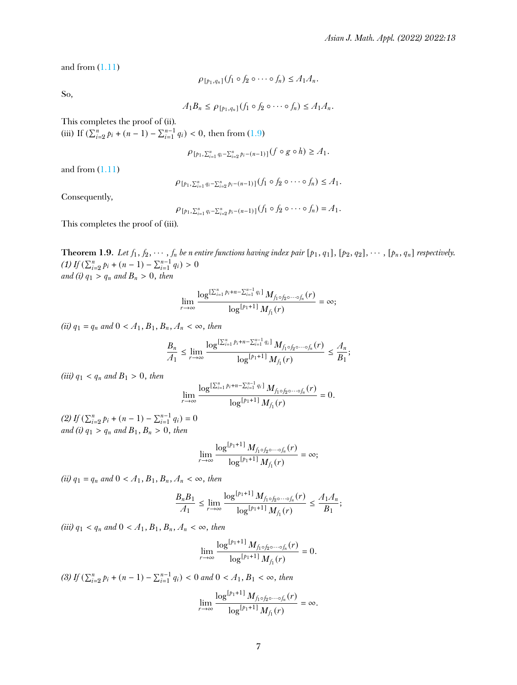and from  $(1.11)$ 

$$
\rho_{[p_1,q_n]}(f_1\circ f_2\circ\cdots\circ f_n)\leq A_1A_n.
$$

So,

$$
A_1B_n \leq \rho_{[p_1,q_n]}(f_1 \circ f_2 \circ \cdots \circ f_n) \leq A_1A_n.
$$

This completes the proof of (ii).

(iii) If  $(\sum_{i=2}^{n} p_i + (n-1) - \sum_{i=1}^{n-1} q_i) < 0$ , then from [\(1.9\)](#page-5-0)

$$
\rho_{[p_1,\sum_{i=1}^n q_i - \sum_{i=2}^n p_i - (n-1)]}(f \circ g \circ h) \geq A_1.
$$

and from  $(1.11)$ 

$$
\rho_{[p_1,\sum_{i=1}^n q_i - \sum_{i=2}^n p_i - (n-1)]} (f_1 \circ f_2 \circ \cdots \circ f_n) \leq A_1.
$$

Consequently,

$$
\rho_{[p_1,\sum_{i=1}^n q_i-\sum_{i=2}^n p_i-(n-1)]}(f_1\circ f_2\circ\cdots\circ f_n)=A_1.
$$

This completes the proof of (iii).

<span id="page-6-0"></span>**Theorem 1.9.** Let  $f_1, f_2, \dots, f_n$  be n entire functions having index pair  $[p_1, q_1]$ ,  $[p_2, q_2]$ ,  $\dots$ ,  $[p_n, q_n]$  respectively.  $(1)$  *If*  $(\sum_{i=2}^{n} p_i + (n-1) - \sum_{i=1}^{n-1} q_i) > 0$ *and* (i)  $q_1 > q_n$  *and*  $B_n > 0$ , *then* 

$$
\lim_{r\to\infty}\frac{\log^{[\sum_{i=1}^{n}p_i+n-\sum_{i=1}^{n-1}q_i]}\,M_{f_1\circ f_2\circ\cdots\circ f_n}(r)}{\log^{[p_1+1]}\,M_{f_1}(r)}=\infty;
$$

*(ii)*  $q_1 = q_n$  *and*  $0 < A_1, B_1, B_n, A_n < \infty$ *, then* 

$$
\frac{B_n}{A_1} \leq \lim_{r \to \infty} \frac{\log^{[\sum_{i=1}^n p_i + n - \sum_{i=1}^{n-1} q_i]} M_{f_1 \circ f_2 \circ \cdots \circ f_n}(r)}{\log^{[p_1 + 1]} M_{f_1}(r)} \leq \frac{A_n}{B_1};
$$

*(iii)*  $q_1 < q_n$  *and*  $B_1 > 0$ *, then* 

$$
\lim_{r\to\infty}\frac{\log^{[\sum_{i=1}^n p_i+n-\sum_{i=1}^{n-1} q_i]} M_{f_1\circ f_2\circ\cdots\circ f_n}(r)}{\log^{[p_1+1]} M_{f_1}(r)}=0.
$$

 $(2) If (\sum_{i=2}^{n} p_i + (n-1) - \sum_{i=1}^{n-1} q_i) = 0$ *and* (*i*)  $q_1 > q_n$  *and*  $B_1, B_n > 0$ , *then* 

$$
\lim_{r\to\infty}\frac{\log^{[p_1+1]}M_{f_1\circ f_2\circ\cdots\circ f_n}(r)}{\log^{[p_1+1]}M_{f_1}(r)}=\infty;
$$

*(ii)*  $q_1 = q_n$  *and*  $0 < A_1, B_1, B_n, A_n < \infty$ *, then* 

$$
\frac{B_n B_1}{A_1} \le \lim_{r \to \infty} \frac{\log^{[p_1+1]} M_{f_1 \circ f_2 \circ \cdots \circ f_n}(r)}{\log^{[p_1+1]} M_{f_1}(r)} \le \frac{A_1 A_n}{B_1};
$$

*(iii)*  $q_1 < q_n$  *and*  $0 < A_1, B_1, B_n, A_n < \infty$ *, then* 

$$
\lim_{r \to \infty} \frac{\log^{[p_1+1]} M_{f_1 \circ f_2 \circ \cdots \circ f_n}(r)}{\log^{[p_1+1]} M_{f_1}(r)} = 0.
$$

 $(3)$  *If*  $(\sum_{i=2}^{n} p_i + (n-1) - \sum_{i=1}^{n-1} q_i) < 0$  and  $0 < A_1, B_1 < \infty$ , then lim*r*→∞  $\log^{[p_1 + 1]} M_{f_1 \circ f_2 \circ \cdots \circ f_n}(r)$  $\log^{[p_1+1]} M_{f_1}(r)$  $=\infty$ .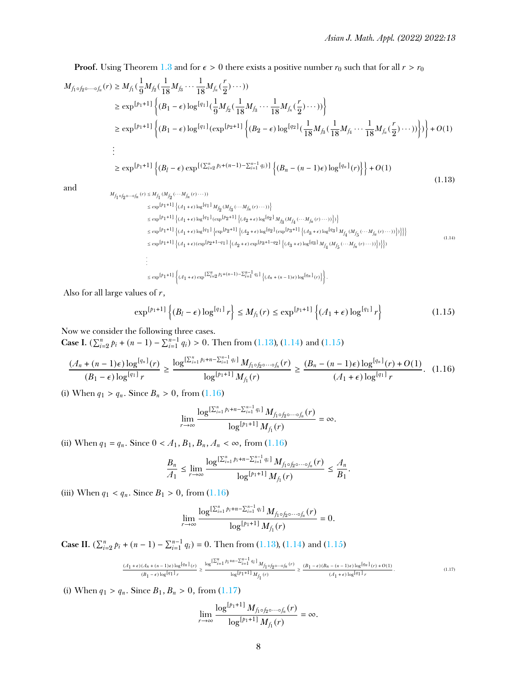**Proof.** Using Theorem [1.3](#page-2-3) and for  $\epsilon > 0$  there exists a positive number  $r_0$  such that for all  $r > r_0$ 

$$
M_{f_1 \circ f_2 \circ \cdots \circ f_n}(r) \ge M_{f_1}(\frac{1}{9}M_{f_2}(\frac{1}{18}M_{f_3}\cdots\frac{1}{18}M_{f_n}(\frac{r}{2})\cdots))
$$
  
\n
$$
\ge \exp^{\lceil p_1+1 \rceil} \left\{ (B_1 - \epsilon) \log^{\lceil q_1 \rceil}(\frac{1}{9}M_{f_2}(\frac{1}{18}M_{f_3}\cdots\frac{1}{18}M_{f_n}(\frac{r}{2})\cdots)) \right\}
$$
  
\n
$$
\ge \exp^{\lceil p_1+1 \rceil} \left\{ (B_1 - \epsilon) \log^{\lceil q_1 \rceil}(\exp^{\lceil p_2+1 \rceil} \left\{ (B_2 - \epsilon) \log^{\lceil q_2 \rceil}(\frac{1}{18}M_{f_3}(\frac{1}{18}M_{f_4}\cdots\frac{1}{18}M_{f_n}(\frac{r}{2})\cdots)) \right\} \right\} + O(1)
$$
  
\n
$$
\vdots
$$
  
\n
$$
\ge \exp^{\lceil p_1+1 \rceil} \left\{ (B_l - \epsilon) \exp^{\lceil (\sum_{i=2}^n p_i + (n-1) - \sum_{i=1}^{n-1} q_i) \rceil} \left\{ (B_n - (n-1)\epsilon) \log^{\lceil q_n \rceil}(r) \right\} \right\} + O(1)
$$
  
\n(1.13)

<span id="page-7-1"></span>and

<span id="page-7-0"></span>
$$
\begin{split} M_{f_1 \circ f_2 \circ \cdots \circ f_n}(r) &\leq M_{f_1} (M_{f_2} (\cdots M_{f_n}(r) \cdots)) \\ &\leq \exp^{[p_1+1]} \left\{ (A_1 + \epsilon) \log^{[q_1]} M_{f_2} (M_{f_3} (\cdots M_{f_n}(r) \cdots)) \right\} \\ &\leq \exp^{[p_1+1]} \left\{ (A_1 + \epsilon) \log^{[q_1]} (\exp^{[p_2+1]} \left\{ (A_2 + \epsilon) \log^{[q_2]} M_{f_3} (M_{f_4} (\cdots M_{f_n}(r) \cdots)) \right\} ) \right\} \\ &\leq \exp^{[p_1+1]} \left\{ (A_1 + \epsilon) \log^{[q_1]} \left\{ \exp^{[p_2+1]} \left\{ (A_2 + \epsilon) \log^{[q_2]} (\exp^{[p_3+1]} \left\{ (A_3 + \epsilon) \log^{[q_3]} M_{f_4} (M_{f_5} (\cdots M_{f_n}(r) \cdots)) \right\} \right\} \right\} \\ &\leq \exp^{[p_1+1]} \left\{ (A_1 + \epsilon) (\exp^{[p_2+1-q_1]} \left\{ (A_2 + \epsilon) \exp^{[p_3+1-q_2]} \left\{ (A_3 + \epsilon) \log^{[q_3]} M_{f_4} (M_{f_5} (\cdots M_{f_n}(r) \cdots)) \right\} \right\} \right\} \end{split} \tag{1.14}
$$

<span id="page-7-2"></span> $\le \exp^{\left[\beta_1+1\right]}\left\{\left(\mathcal{A}_1+\epsilon\right)\exp^{\left[\sum_{i=2}^n\beta_i+(n-1)-\sum_{i=1}^{n-1}q_i\right]}\left\{\left(\mathcal{A}_n+(n-1)\epsilon\right)\log^{\left[q_n\right]}(r)\right\}\right\}.$ 

Also for all large values of *r*,

$$
\exp^{\lceil p_1+1 \rceil} \left\{ (B_l - \epsilon) \log^{\lceil q_1 \rceil} r \right\} \le M_{f_1}(r) \le \exp^{\lceil p_1 + 1 \rceil} \left\{ (A_1 + \epsilon) \log^{\lceil q_1 \rceil} r \right\} \tag{1.15}
$$

Now we consider the following three cases.

**Case I.**  $(\sum_{i=2}^{n} p_i + (n-1) - \sum_{i=1}^{n-1} q_i) > 0$ . Then from [\(1.13\)](#page-7-0), [\(1.14\)](#page-7-1) and [\(1.15\)](#page-7-2)

$$
\frac{(A_n + (n-1)\epsilon) \log^{[q_n]}(r)}{(B_1 - \epsilon) \log^{[q_1]}r} \ge \frac{\log^{\lfloor \sum_{i=1}^n p_i + n - \sum_{i=1}^{n-1} q_i \rfloor} M_{f_1 \circ f_2 \circ \cdots \circ f_n}(r)}{\log^{[p_1 + 1]} M_{f_1}(r)} \ge \frac{(B_n - (n-1)\epsilon) \log^{[q_n]}(r) + O(1)}{(A_1 + \epsilon) \log^{[q_1]}r}.
$$
(1.16)

(i) When  $q_1 > q_n$ . Since  $B_n > 0$ , from  $(1.16)$ 

<span id="page-7-3"></span>
$$
\lim_{r\to\infty}\frac{\log^{[\sum_{i=1}^{n}p_i+n-\sum_{i=1}^{n-1}q_i]}\,M_{f_1\circ f_2\circ\cdots\circ f_n}(r)}{\log^{[p_1+1]}\,M_{f_1}(r)}=\infty.
$$

(ii) When  $q_1 = q_n$ . Since  $0 < A_1, B_1, B_n, A_n < \infty$ , from [\(1.16\)](#page-7-3)

$$
\frac{B_n}{A_1} \leq \lim_{r \to \infty} \frac{\log^{[\sum_{i=1}^n p_i + n - \sum_{i=1}^{n-1} q_i]} M_{f_1 \circ f_2 \circ \cdots \circ f_n}(r)}{\log^{[p_1 + 1]} M_{f_1}(r)} \leq \frac{A_n}{B_1}.
$$

(iii) When  $q_1 < q_n$ . Since  $B_1 > 0$ , from  $(1.16)$ 

$$
\lim_{r\to\infty}\frac{\log^{[\sum_{i=1}^n p_i+n-\sum_{i=1}^{n-1} q_i] } M_{f_1\circ f_2\circ\cdots\circ f_n}(r)}{\log^{[p_1+1]} M_{f_1}(r)}=0.
$$

**Case II.**  $(\sum_{i=2}^{n} p_i + (n-1) - \sum_{i=1}^{n-1} q_i) = 0$ . Then from [\(1.13\)](#page-7-0), [\(1.14\)](#page-7-1) and [\(1.15\)](#page-7-2)

$$
\frac{\left(\mathcal{A}_1+\epsilon\right)\left(\mathcal{A}_n+(n-1)\epsilon\right)\log\left[q_n\right]_{(r)}}{\left(\mathcal{B}_1-\epsilon\right)\log\left[q_1\right]_{r}}\geq \frac{\log^{\left[\sum_{i=1}^n p_i+n-\sum_{i=1}^{n-1}q_i\right]}\mathcal{M}_{\int_{1}\circ\int_{2}^{\infty}\circ\cdots\circ\int_{n}}(r)}{\log^{\left[p_1+1\right]}\mathcal{M}_{\int_{1}}\left(r\right)}\geq \frac{\left(\mathcal{B}_1-\epsilon\right)\left(\mathcal{B}_n-(n-1)\epsilon\right)\log\left[q_n\right]_{(r)}+O(1)}{\left(\mathcal{A}_1+\epsilon\right)\log^{\left[q_1\right]}\left(r\right)}.\tag{1.17}
$$

(i) When  $q_1 > q_n$ . Since  $B_1, B_n > 0$ , from [\(1.17\)](#page-7-4)

<span id="page-7-4"></span>
$$
\lim_{r\to\infty}\frac{\log^{[p_1+1]}M_{f_1\circ f_2\circ\cdots\circ f_n}(r)}{\log^{[p_1+1]}M_{f_1}(r)}=\infty.
$$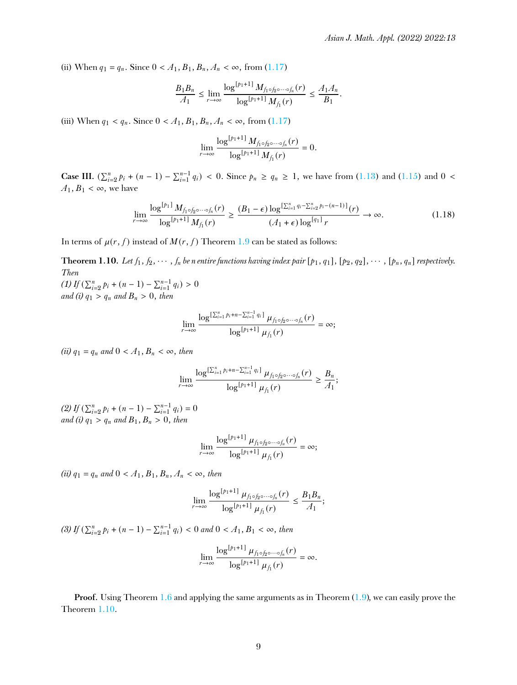(ii) When  $q_1 = q_n$ . Since  $0 < A_1, B_1, B_n, A_n < \infty$ , from [\(1.17\)](#page-7-4)

$$
\frac{B_1B_n}{A_1} \le \lim_{r \to \infty} \frac{\log^{[p_1+1]} M_{f_1 \circ f_2 \circ \cdots \circ f_n}(r)}{\log^{[p_1+1]} M_{f_1}(r)} \le \frac{A_1 A_n}{B_1}.
$$

(iii) When  $q_1 < q_n$ . Since  $0 < A_1, B_1, B_n, A_n < \infty$ , from [\(1.17\)](#page-7-4)

$$
\lim_{r\to\infty}\frac{\log^{[p_1+1]}M_{f_1\circ f_2\circ\cdots\circ f_n}(r)}{\log^{[p_1+1]}M_{f_1}(r)}=0.
$$

**Case III.**  $(\sum_{i=2}^{n} p_i + (n-1) - \sum_{i=1}^{n-1} q_i)$  < 0. Since  $p_n \ge q_n \ge 1$ , we have from [\(1.13\)](#page-7-0) and [\(1.15\)](#page-7-2) and 0 <  $A_1, B_1 < \infty$ , we have

$$
\lim_{r \to \infty} \frac{\log^{[p_1]} M_{f_1 \circ f_2 \circ \cdots \circ f_n}(r)}{\log^{[p_1+1]} M_{f_1}(r)} \ge \frac{(B_1 - \epsilon) \log^{\left[\sum_{i=1}^n q_i - \sum_{i=2}^n p_i - (n-1)\right]}(r)}{(A_1 + \epsilon) \log^{[q_1]} r} \to \infty.
$$
\n(1.18)

In terms of  $\mu(r, f)$  instead of  $M(r, f)$  Theorem [1.9](#page-6-0) can be stated as follows:

<span id="page-8-0"></span>**Theorem 1.10.** Let  $f_1, f_2, \dots, f_n$  be n entire functions having index pair  $[p_1, q_1]$ ,  $[p_2, q_2]$ ,  $\dots$ ,  $[p_n, q_n]$  respectively. *Then*

 $(1)$  *If*  $(\sum_{i=2}^{n} p_i + (n-1) - \sum_{i=1}^{n-1} q_i) > 0$ *and* (i)  $q_1 > q_n$  *and*  $B_n > 0$ , *then* 

$$
\lim_{r\to\infty}\frac{\log^{[\sum_{i=1}^{n}p_{i}+n-\sum_{i=1}^{n-1}q_{i}]}\mu_{f_{1}\circ f_{2}\circ\cdots\circ f_{n}}(r)}{\log^{[p_{1}+1]}\mu_{f_{1}}(r)}=\infty;
$$

*(ii)*  $q_1 = q_n$  *and*  $0 < A_1, B_n < \infty$ *, then* 

$$
\lim_{r\to\infty}\frac{\log^{[\sum_{i=1}^n p_i+n-\sum_{i=1}^{n-1}q_i]}\mu_{f_1\circ f_2\circ\cdots\circ f_n}(r)}{\log^{[p_1+1]}\mu_{f_1}(r)}\geq \frac{B_n}{A_1};
$$

 $(2) If (\sum_{i=2}^{n} p_i + (n-1) - \sum_{i=1}^{n-1} q_i) = 0$ *and* (*i*)  $q_1 > q_n$  *and*  $B_1, B_n > 0$ , *then* 

$$
\lim_{r\to\infty}\frac{\log^{[p_1+1]}\mu_{f_1\circ f_2\circ\cdots\circ f_n}(r)}{\log^{[p_1+1]}\mu_{f_1}(r)}=\infty;
$$

 $(ii)$   $q_1 = q_n$  and  $0 < A_1, B_1, B_n, A_n < \infty$ , then

$$
\lim_{r \to \infty} \frac{\log^{[p_1+1]} \mu_{f_1 \circ f_2 \circ \cdots \circ f_n}(r)}{\log^{[p_1+1]} \mu_{f_1}(r)} \leq \frac{B_1 B_n}{A_1};
$$

 $(3)$  *If*  $(\sum_{i=2}^{n} p_i + (n-1) - \sum_{i=1}^{n-1} q_i) < 0$  and  $0 < A_1, B_1 < \infty$ , then

$$
\lim_{r \to \infty} \frac{\log^{[p_1+1]} \mu_{f_1 \circ f_2 \circ \cdots \circ f_n}(r)}{\log^{[p_1+1]} \mu_{f_1}(r)} = \infty.
$$

**Proof.** Using Theorem [1.6](#page-2-4) and applying the same arguments as in Theorem  $(1.9)$ , we can easily prove the Theorem [1.10.](#page-8-0)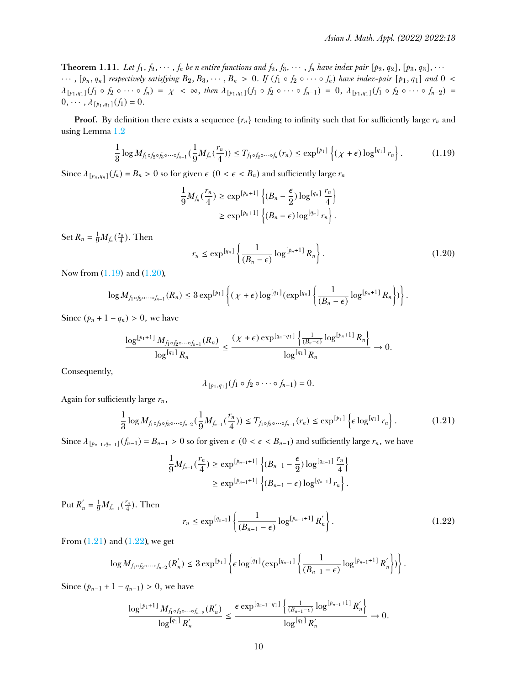**Theorem 1.11.** Let  $f_1, f_2, \cdots, f_n$  be n entire functions and  $f_2, f_3, \cdots, f_n$  have index pair  $[p_2, q_2]$ ,  $[p_3, q_3]$ ,  $\cdots$  $\cdots$ , [p<sub>n</sub>, q<sub>n</sub>] respectively satisfying B<sub>2</sub>, B<sub>3</sub>,  $\cdots$ , B<sub>n</sub> > 0. If  $(f_1 \circ f_2 \circ \cdots \circ f_n)$  have index-pair [p<sub>1</sub>, q<sub>1</sub>] and 0 <  $\lambda_{[p_1,q_1]}(f_1 \circ f_2 \circ \cdots \circ f_n) = \chi < \infty$ , then  $\lambda_{[p_1,q_1]}(f_1 \circ f_2 \circ \cdots \circ f_{n-1}) = 0$ ,  $\lambda_{[p_1,q_1]}(f_1 \circ f_2 \circ \cdots \circ f_{n-2}) =$  $0, \cdots, \lambda_{[p_1,q_1]}(f_1) = 0.$ 

**Proof.** By definition there exists a sequence  $\{r_n\}$  tending to infinity such that for sufficiently large  $r_n$  and using Lemma [1.2](#page-2-5)

<span id="page-9-0"></span>
$$
\frac{1}{3}\log M_{f_1\circ f_2\circ f_3\circ\cdots\circ f_{n-1}}(\frac{1}{9}M_{f_n}(\frac{r_n}{4}))\leq T_{f_1\circ f_2\circ\cdots\circ f_n}(r_n)\leq \exp^{[p_1]}\left\{(\chi+\epsilon)\log^{[q_1]}r_n\right\}.
$$
 (1.19)

Since  $\lambda_{\lfloor p_n, q_n \rfloor}(f_n) = B_n > 0$  so for given  $\epsilon$  ( $0 < \epsilon < B_n$ ) and sufficiently large  $r_n$ 

$$
\frac{1}{9}M_{f_n}(\frac{r_n}{4}) \geq \exp^{[p_n+1]}\left\{(B_n-\frac{\epsilon}{2})\log^{[q_n]}\frac{r_n}{4}\right\}
$$

$$
\geq \exp^{[p_n+1]}\left\{(B_n-\epsilon)\log^{[q_n]}r_n\right\}.
$$

Set  $R_n = \frac{1}{9} M_{f_n}(\frac{r_n}{4})$ . Then

<span id="page-9-1"></span>
$$
r_n \le \exp^{\left[q_n\right]} \left\{ \frac{1}{\left(B_n - \epsilon\right)} \log^{\left[p_n + 1\right]} R_n \right\}.
$$
 (1.20)

Now from [\(1.19\)](#page-9-0) and [\(1.20\)](#page-9-1),

$$
\log M_{f_1\circ f_2\circ\cdots\circ f_{n-1}}(R_n)\leq 3\exp^{[p_1]}\left\{(\chi+\epsilon)\log^{[q_1]}(\exp^{[q_n]}\left\{\frac{1}{(B_n-\epsilon)}\log^{[p_n+1]}R_n\right\})\right\}.
$$

Since  $(p_n + 1 - q_n) > 0$ , we have

$$
\frac{\log^{[p_1+1]} M_{f_1 \circ f_2 \circ \cdots \circ f_{n-1}}(R_n)}{\log^{[q_1]} R_n} \leq \frac{(\chi + \epsilon) \exp^{[q_n-q_1]} \left\{ \frac{1}{(B_n - \epsilon)} \log^{[p_n+1]} R_n \right\}}{\log^{[q_1]} R_n} \to 0.
$$

Consequently,

<span id="page-9-2"></span>
$$
\lambda_{\lbrack p_1,q_1\rbrack}(f_1\circ f_2\circ\cdots\circ f_{n-1})=0.
$$

Again for sufficiently large  $r_n$ ,

$$
\frac{1}{3}\log M_{f_1\circ f_2\circ f_3\circ\cdots\circ f_{n-2}}(\frac{1}{9}M_{f_{n-1}}(\frac{r_n}{4}))\leq T_{f_1\circ f_2\circ\cdots\circ f_{n-1}}(r_n)\leq \exp^{[p_1]}\left\{\epsilon\log^{[q_1]}r_n\right\}.
$$
 (1.21)

Since  $\lambda_{\lfloor p_{n-1}, q_{n-1} \rfloor}(f_{n-1}) = B_{n-1} > 0$  so for given  $\epsilon$  (0 <  $\epsilon$  <  $B_{n-1}$ ) and sufficiently large  $r_n$ , we have

$$
\frac{1}{9}M_{f_{n-1}}(\frac{r_n}{4}) \ge \exp^{[p_{n-1}+1]} \left\{ (B_{n-1} - \frac{\epsilon}{2}) \log^{[q_{n-1}]} \frac{r_n}{4} \right\}
$$
  

$$
\ge \exp^{[p_{n-1}+1]} \left\{ (B_{n-1} - \epsilon) \log^{[q_{n-1}]} r_n \right\}.
$$

Put  $R'_n = \frac{1}{9} M_{f_{n-1}}(\frac{r_n}{4})$ . Then

<span id="page-9-3"></span>
$$
r_n \le \exp^{[q_{n-1}]} \left\{ \frac{1}{(B_{n-1} - \epsilon)} \log^{[p_{n-1}+1]} R'_n \right\}.
$$
 (1.22)

From  $(1.21)$  and  $(1.22)$ , we get

$$
\log M_{f_1\circ f_2\circ\cdots\circ f_{n-2}}(R'_n) \leq 3 \exp^{[p_1]} \left\{ \epsilon \log^{[q_1]}(\exp^{[q_{n-1}]} \left\{ \frac{1}{(B_{n-1}-\epsilon)} \log^{[p_{n-1}+1]} R'_n \right\} ) \right\}.
$$

Since  $(p_{n-1} + 1 - q_{n-1}) > 0$ , we have

$$
\frac{\log^{[p_1+1]} M_{f_1 \circ f_2 \circ \cdots \circ f_{n-2}}(R_n^{\prime})}{\log^{[q_1]} R_n^{\prime}} \leq \frac{\epsilon \exp^{[q_{n-1}-q_1]} \left\{ \frac{1}{(B_{n-1}-\epsilon)} \log^{[p_{n-1}+1]} R_n^{\prime} \right\}}{\log^{[q_1]} R_n^{\prime}} \to 0.
$$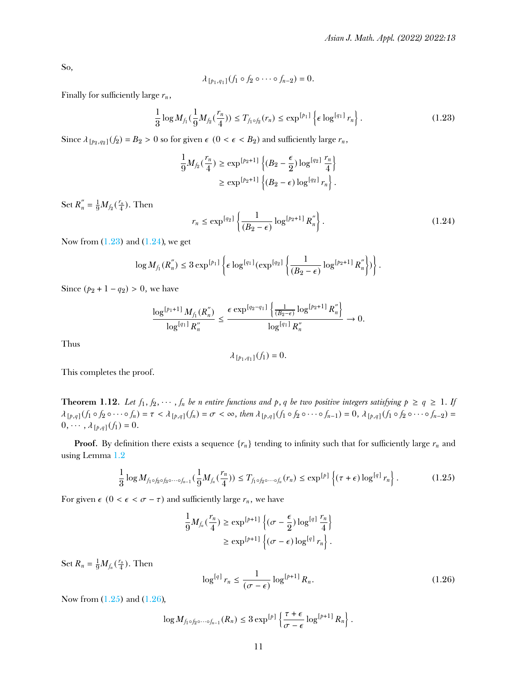So,

$$
\lambda_{\lbrack p_{1},q_{1}]}(f_{1}\circ f_{2}\circ\cdots\circ f_{n-2})=0.
$$

Finally for sufficiently large  $r_n$ ,

<span id="page-10-0"></span>
$$
\frac{1}{3}\log M_{f_1}(\frac{1}{9}M_{f_2}(\frac{r_n}{4})) \le T_{f_1\circ f_2}(r_n) \le \exp^{[p_1]} \left\{ \epsilon \log^{[q_1]} r_n \right\}.
$$
 (1.23)

Since  $\lambda_{\lceil p_2, q_2 \rceil}(f_2) = B_2 > 0$  so for given  $\epsilon$  ( $0 < \epsilon < B_2$ ) and sufficiently large  $r_n$ ,

$$
\begin{aligned} \frac{1}{9}M_{f_2}(\frac{r_n}{4}) & \geq \exp^{[p_2+1]} \left\{ (B_2 - \frac{\epsilon}{2}) \log^{[q_2]} \frac{r_n}{4} \right\} \\ & \geq \exp^{[p_2+1]} \left\{ (B_2 - \epsilon) \log^{[q_2]} r_n \right\}. \end{aligned}
$$

Set  $R_n'' = \frac{1}{9} M_{f_2}(\frac{r_n}{4})$ . Then

<span id="page-10-1"></span>
$$
r_n \le \exp^{\lceil q_2 \rceil} \left\{ \frac{1}{(B_2 - \epsilon)} \log^{[p_2 + 1]} R_n'' \right\}.
$$
 (1.24)

Now from  $(1.23)$  and  $(1.24)$ , we get

$$
\log M_{f_1}(R^{''}_n) \leq 3 \exp^{[p_1]} \left\{ \epsilon \log^{[q_1]} (\exp^{[q_2]} \left\{ \frac{1}{(B_2 - \epsilon)} \log^{[p_2 + 1]} R^{''}_n \right\}) \right\}.
$$

Since  $(p_2 + 1 - q_2) > 0$ , we have

$$
\frac{\log^{[p_1+1]} M_{f_1}(R_n^{''})}{\log^{[q_1]} R_n^{''}} \leq \frac{\epsilon \exp^{[q_2-q_1]} \left\{ \frac{1}{(B_2-\epsilon)} \log^{[p_2+1]} R_n^{''}\right\}}{\log^{[q_1]} R_n^{''}} \to 0.
$$

Thus

$$
\lambda_{[\bar{p}_1,q_1]}(f_1)=0.
$$

This completes the proof.

**Theorem 1.12.** Let  $f_1, f_2, \cdots, f_n$  be n entire functions and p, q be two positive integers satisfying  $p \ge q \ge 1$ . If  $\lambda_{[p,q]}(f_1 \circ f_2 \circ \cdots \circ f_n) = \tau \langle \lambda_{[p,q]}(f_n) \rangle = \sigma \langle \infty, \text{ then } \lambda_{[p,q]}(f_1 \circ f_2 \circ \cdots \circ f_{n-1}) = 0, \lambda_{[p,q]}(f_1 \circ f_2 \circ \cdots \circ f_{n-2}) = 0$  $0, \cdots, \lambda_{[p,q]}(f_1) = 0.$ 

**Proof.** By definition there exists a sequence  $\{r_n\}$  tending to infinity such that for sufficiently large  $r_n$  and using Lemma [1.2](#page-2-5)

<span id="page-10-2"></span>
$$
\frac{1}{3}\log M_{f_1\circ f_2\circ f_3\circ\cdots\circ f_{n-1}}(\frac{1}{9}M_{f_n}(\frac{r_n}{4}))\leq T_{f_1\circ f_2\circ\cdots\circ f_n}(r_n)\leq \exp^{[p]}\left\{(\tau+\epsilon)\log^{[q]}r_n\right\}.
$$
 (1.25)

For given  $\epsilon$  ( $0 < \epsilon < \sigma - \tau$ ) and sufficiently large  $r_n$ , we have

$$
\begin{aligned} \frac{1}{9}M_{f_n}(\frac{r_n}{4}) &\geq \exp^{[p+1]} \left\{(\sigma-\frac{\epsilon}{2})\log^{[q]}\frac{r_n}{4}\right\} \\ &\geq \exp^{[p+1]}\left\{(\sigma-\epsilon)\log^{[q]}r_n\right\}. \end{aligned}
$$

Set  $R_n = \frac{1}{9} M_{f_n}(\frac{r_n}{4})$ . Then

<span id="page-10-3"></span>
$$
\log^{[q]} r_n \le \frac{1}{(\sigma - \epsilon)} \log^{[p+1]} R_n. \tag{1.26}
$$

Now from [\(1.25\)](#page-10-2) and [\(1.26\)](#page-10-3),

$$
\log M_{f_1\circ f_2\circ\cdots\circ f_{n-1}}(R_n)\leq 3\exp^{[p]}\left\{\frac{\tau+\epsilon}{\sigma-\epsilon}\log^{[p+1]}R_n\right\}.
$$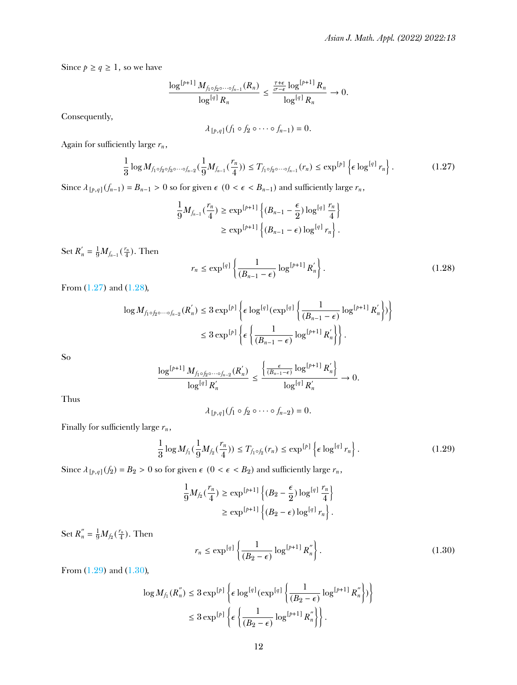Since  $p \ge q \ge 1$ , so we have

$$
\frac{\log^{[p+1]} M_{f_1 \circ f_2 \circ \cdots \circ f_{n-1}}(R_n)}{\log^{[q]} R_n} \leq \frac{\frac{\tau+\epsilon}{\sigma-\epsilon} \log^{[p+1]} R_n}{\log^{[q]} R_n} \to 0.
$$

Consequently,

<span id="page-11-0"></span>
$$
\lambda_{\left[p,q\right]}(f_1\circ f_2\circ\cdots\circ f_{n-1})=0.
$$

Again for sufficiently large  $r_n$ ,

$$
\frac{1}{3}\log M_{f_1\circ f_2\circ f_3\circ\cdots\circ f_{n-2}}(\frac{1}{9}M_{f_{n-1}}(\frac{r_n}{4}))\leq T_{f_1\circ f_2\circ\cdots\circ f_{n-1}}(r_n)\leq \exp^{[p]}\left\{\epsilon\log^{[q]}r_n\right\}.
$$
 (1.27)

Since  $\lambda_{[p,q]}(f_{n-1}) = B_{n-1} > 0$  so for given  $\epsilon$  (0 <  $\epsilon$  <  $B_{n-1}$ ) and sufficiently large  $r_n$ ,

$$
\frac{1}{9}M_{f_{n-1}}(\frac{r_n}{4}) \ge \exp^{[p+1]} \left\{ (B_{n-1} - \frac{\epsilon}{2}) \log^{[q]} \frac{r_n}{4} \right\}
$$
  
 
$$
\ge \exp^{[p+1]} \left\{ (B_{n-1} - \epsilon) \log^{[q]} r_n \right\}.
$$

Set  $R'_{n} = \frac{1}{9} M_{f_{n-1}}(\frac{r_{n}}{4})$ . Then

<span id="page-11-1"></span>
$$
r_n \le \exp^{\lceil q \rceil} \left\{ \frac{1}{(B_{n-1} - \epsilon)} \log^{[p+1]} R_n' \right\}.
$$
 (1.28)

From [\(1.27\)](#page-11-0) and [\(1.28\)](#page-11-1),

$$
\log M_{f_1 \circ f_2 \circ \cdots \circ f_{n-2}}(R'_n) \leq 3 \exp^{[p]} \left\{ \epsilon \log^{[q]} (\exp^{[q]} \left\{ \frac{1}{(B_{n-1} - \epsilon)} \log^{[p+1]} R'_n \right\}) \right\}
$$
  

$$
\leq 3 \exp^{[p]} \left\{ \epsilon \left\{ \frac{1}{(B_{n-1} - \epsilon)} \log^{[p+1]} R'_n \right\} \right\}.
$$

So

$$
\frac{\log^{[p+1]} M_{f_1 \circ f_2 \circ \cdots \circ f_{n-2}}(R_n')}{\log^{[q]} R_n'} \le \frac{\left\{ \frac{\epsilon}{(B_{n-1}-\epsilon)} \log^{[p+1]} R_n'} \right\}}{\log^{[q]} R_n'} \to 0.
$$

Thus

$$
\lambda_{[p,q]}(f_1\circ f_2\circ\cdots\circ f_{n-2})=0.
$$

Finally for sufficiently large  $r_n$ ,

<span id="page-11-2"></span>
$$
\frac{1}{3}\log M_{f_1}(\frac{1}{9}M_{f_2}(\frac{r_n}{4})) \le T_{f_1\circ f_2}(r_n) \le \exp^{[p]} \left\{ \epsilon \log^{[q]} r_n \right\}.
$$
 (1.29)

Since  $\lambda_{[p,q]}(f_2) = B_2 > 0$  so for given  $\epsilon$  ( $0 < \epsilon < B_2$ ) and sufficiently large  $r_n$ ,

$$
\frac{1}{9}M_{f_2}(\frac{r_n}{4}) \ge \exp^{[p+1]} \left\{ (B_2 - \frac{\epsilon}{2}) \log^{[q]} \frac{r_n}{4} \right\}
$$
  
 
$$
\ge \exp^{[p+1]} \left\{ (B_2 - \epsilon) \log^{[q]} r_n \right\}.
$$

Set  $R_n'' = \frac{1}{9} M_{f_2}(\frac{r_n}{4})$ . Then

<span id="page-11-3"></span>
$$
r_n \le \exp^{\lceil q \rceil} \left\{ \frac{1}{(B_2 - \epsilon)} \log^{[p+1]} R_n'' \right\}.
$$
 (1.30)

From [\(1.29\)](#page-11-2) and [\(1.30\)](#page-11-3),

$$
\begin{split} \log M_{f_1}(R_n^{''}) &\leq 3 \exp^{[p]} \left\{ \epsilon \log^{[q]} \left( \exp^{[q]} \left\{ \frac{1}{(B_2 - \epsilon)} \log^{[p+1]} R_n^{''} \right\} \right) \right\} \\ &\leq 3 \exp^{[p]} \left\{ \epsilon \left\{ \frac{1}{(B_2 - \epsilon)} \log^{[p+1]} R_n^{''} \right\} \right\}. \end{split}
$$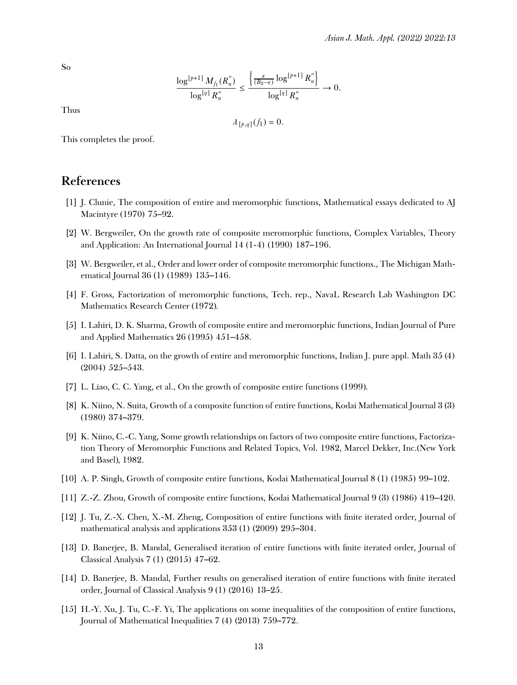So

$$
\frac{\log^{[p+1]} M_{f_1}(R^{''}_n)}{\log^{[q]} R^{''}_n} \leq \frac{\left\{ \frac{\epsilon}{(B_2-\epsilon)} \log^{[p+1]} R^{''}_n \right\}}{\log^{[q]} R^{''}_n} \to 0.
$$

Thus

$$
\lambda_{\left[\frac{p}{q}\right]}(f_1)=0.
$$

This completes the proof.

#### **References**

- <span id="page-12-0"></span>[1] J. Clunie, The composition of entire and meromorphic functions, Mathematical essays dedicated to AJ Macintyre (1970) 75–92.
- <span id="page-12-1"></span>[2] W. Bergweiler, On the growth rate of composite meromorphic functions, Complex Variables, Theory and Application: An International Journal 14 (1-4) (1990) 187–196.
- <span id="page-12-2"></span>[3] W. Bergweiler, et al., Order and lower order of composite meromorphic functions., The Michigan Mathematical Journal 36 (1) (1989) 135–146.
- <span id="page-12-3"></span>[4] F. Gross, Factorization of meromorphic functions, Tech. rep., NavaL Research Lab Washington DC Mathematics Research Center (1972).
- <span id="page-12-4"></span>[5] I. Lahiri, D. K. Sharma, Growth of composite entire and meromorphic functions, Indian Journal of Pure and Applied Mathematics 26 (1995) 451–458.
- <span id="page-12-5"></span>[6] I. Lahiri, S. Datta, on the growth of entire and meromorphic functions, Indian J. pure appl. Math 35 (4) (2004) 525–543.
- <span id="page-12-6"></span>[7] L. Liao, C. C. Yang, et al., On the growth of composite entire functions (1999).
- <span id="page-12-7"></span>[8] K. Niino, N. Suita, Growth of a composite function of entire functions, Kodai Mathematical Journal 3 (3) (1980) 374–379.
- <span id="page-12-8"></span>[9] K. Niino, C.-C. Yang, Some growth relationships on factors of two composite entire functions, Factorization Theory of Meromorphic Functions and Related Topics, Vol. 1982, Marcel Dekker, Inc.(New York and Basel), 1982.
- <span id="page-12-9"></span>[10] A. P. Singh, Growth of composite entire functions, Kodai Mathematical Journal 8 (1) (1985) 99–102.
- <span id="page-12-10"></span>[11] Z.-Z. Zhou, Growth of composite entire functions, Kodai Mathematical Journal 9 (3) (1986) 419–420.
- <span id="page-12-11"></span>[12] J. Tu, Z.-X. Chen, X.-M. Zheng, Composition of entire functions with nite iterated order, Journal of mathematical analysis and applications 353 (1) (2009) 295–304.
- <span id="page-12-12"></span>[13] D. Banerjee, B. Mandal, Generalised iteration of entire functions with nite iterated order, Journal of Classical Analysis 7 (1) (2015) 47–62.
- <span id="page-12-13"></span>[14] D. Banerjee, B. Mandal, Further results on generalised iteration of entire functions with nite iterated order, Journal of Classical Analysis 9 (1) (2016) 13–25.
- <span id="page-12-14"></span>[15] H.-Y. Xu, J. Tu, C.-F. Yi, The applications on some inequalities of the composition of entire functions, Journal of Mathematical Inequalities 7 (4) (2013) 759–772.